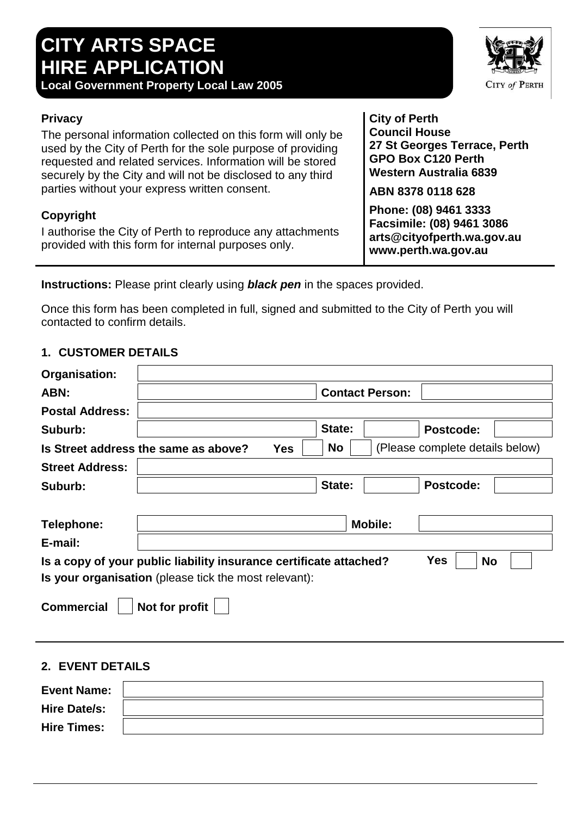# **CITY ARTS SPACE HIRE APPLICATION**

**Local Government Property Local Law 2005**

## **Privacy**

The personal information collected on this form will only be used by the City of Perth for the sole purpose of providing requested and related services. Information will be stored securely by the City and will not be disclosed to any third parties without your express written consent.

# **Copyright**

I authorise the City of Perth to reproduce any attachments provided with this form for internal purposes only.

**City of Perth Council House 27 St Georges Terrace, Perth GPO Box C120 Perth Western Australia 6839**

**ABN 8378 0118 628**

**Phone: (08) 9461 3333 Facsimile: (08) 9461 3086 arts@cityofperth.wa.gov.au www.perth.wa.gov.au**

**Instructions:** Please print clearly using *black pen* in the spaces provided.

Once this form has been completed in full, signed and submitted to the City of Perth you will contacted to confirm details.

#### **1. CUSTOMER DETAILS**

| Organisation:                                                                          |                                      |            |           |                        |                                 |  |
|----------------------------------------------------------------------------------------|--------------------------------------|------------|-----------|------------------------|---------------------------------|--|
| ABN:                                                                                   |                                      |            |           | <b>Contact Person:</b> |                                 |  |
| <b>Postal Address:</b>                                                                 |                                      |            |           |                        |                                 |  |
| Suburb:                                                                                |                                      |            | State:    |                        | Postcode:                       |  |
|                                                                                        | Is Street address the same as above? | <b>Yes</b> | <b>No</b> |                        | (Please complete details below) |  |
| <b>Street Address:</b>                                                                 |                                      |            |           |                        |                                 |  |
| Suburb:                                                                                |                                      |            | State:    |                        | <b>Postcode:</b>                |  |
|                                                                                        |                                      |            |           |                        |                                 |  |
| Telephone:                                                                             |                                      |            |           | <b>Mobile:</b>         |                                 |  |
| E-mail:                                                                                |                                      |            |           |                        |                                 |  |
| Yes<br>Is a copy of your public liability insurance certificate attached?<br><b>No</b> |                                      |            |           |                        |                                 |  |
| Is your organisation (please tick the most relevant):                                  |                                      |            |           |                        |                                 |  |
| <b>Commercial</b><br>Not for profit                                                    |                                      |            |           |                        |                                 |  |
| 2. EVENT DETAILS                                                                       |                                      |            |           |                        |                                 |  |

| <b>Event Name:</b>  |  |
|---------------------|--|
| <b>Hire Date/s:</b> |  |
| <b>Hire Times:</b>  |  |

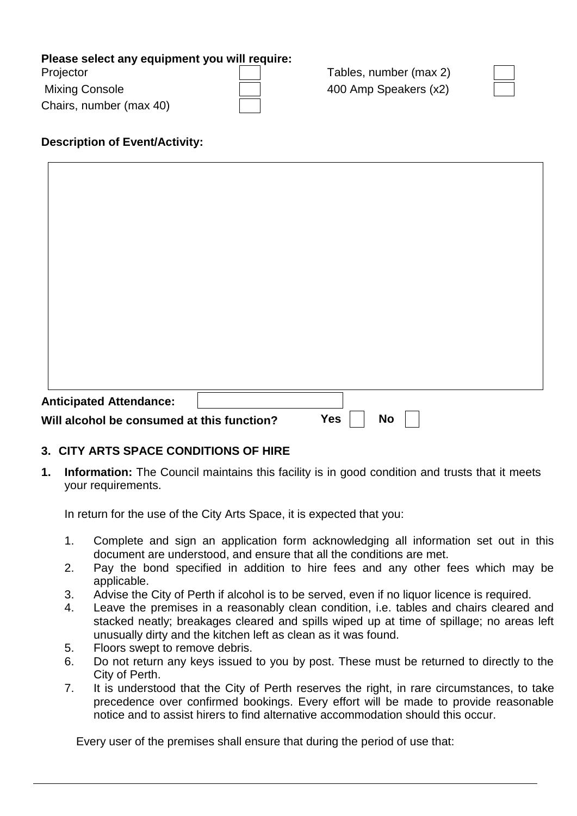#### **Please select any equipment you will require:**

| Projector               |  |
|-------------------------|--|
| <b>Mixing Console</b>   |  |
| Chairs, number (max 40) |  |

Tables, number (max 2) 400 Amp Speakers (x2)

## **Description of Event/Activity:**

| <b>Anticipated Attendance:</b>             |                  |  |
|--------------------------------------------|------------------|--|
| Will alcohol be consumed at this function? | <b>Yes</b><br>No |  |

#### **3. CITY ARTS SPACE CONDITIONS OF HIRE**

**1. Information:** The Council maintains this facility is in good condition and trusts that it meets your requirements.

In return for the use of the City Arts Space, it is expected that you:

- 1. Complete and sign an application form acknowledging all information set out in this document are understood, and ensure that all the conditions are met.
- 2. Pay the bond specified in addition to hire fees and any other fees which may be applicable.
- 3. Advise the City of Perth if alcohol is to be served, even if no liquor licence is required.
- 4. Leave the premises in a reasonably clean condition, i.e. tables and chairs cleared and stacked neatly; breakages cleared and spills wiped up at time of spillage; no areas left unusually dirty and the kitchen left as clean as it was found.
- 5. Floors swept to remove debris.
- 6. Do not return any keys issued to you by post. These must be returned to directly to the City of Perth.
- 7. It is understood that the City of Perth reserves the right, in rare circumstances, to take precedence over confirmed bookings. Every effort will be made to provide reasonable notice and to assist hirers to find alternative accommodation should this occur.

Every user of the premises shall ensure that during the period of use that: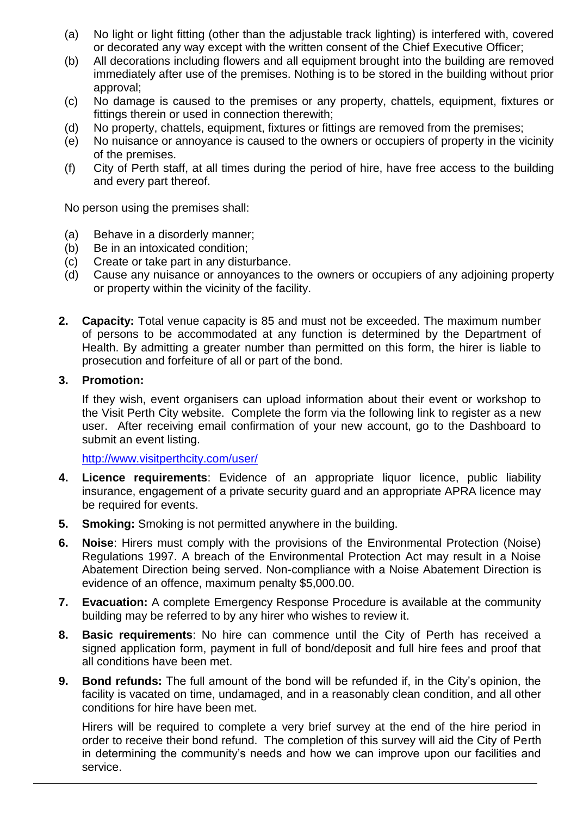- (a) No light or light fitting (other than the adjustable track lighting) is interfered with, covered or decorated any way except with the written consent of the Chief Executive Officer;
- (b) All decorations including flowers and all equipment brought into the building are removed immediately after use of the premises. Nothing is to be stored in the building without prior approval;
- (c) No damage is caused to the premises or any property, chattels, equipment, fixtures or fittings therein or used in connection therewith;
- (d) No property, chattels, equipment, fixtures or fittings are removed from the premises;
- (e) No nuisance or annoyance is caused to the owners or occupiers of property in the vicinity of the premises.
- (f) City of Perth staff, at all times during the period of hire, have free access to the building and every part thereof.

No person using the premises shall:

- (a) Behave in a disorderly manner;
- (b) Be in an intoxicated condition;
- (c) Create or take part in any disturbance.
- (d) Cause any nuisance or annoyances to the owners or occupiers of any adjoining property or property within the vicinity of the facility.
- **2. Capacity:** Total venue capacity is 85 and must not be exceeded. The maximum number of persons to be accommodated at any function is determined by the Department of Health. By admitting a greater number than permitted on this form, the hirer is liable to prosecution and forfeiture of all or part of the bond.

#### **3. Promotion:**

If they wish, event organisers can upload information about their event or workshop to the Visit Perth City website. Complete the form via the following link to register as a new user. After receiving email confirmation of your new account, go to the Dashboard to submit an event listing.

<http://www.visitperthcity.com/user/>

- **4. Licence requirements**: Evidence of an appropriate liquor licence, public liability insurance, engagement of a private security guard and an appropriate APRA licence may be required for events.
- **5. Smoking:** Smoking is not permitted anywhere in the building.
- **6. Noise**: Hirers must comply with the provisions of the Environmental Protection (Noise) Regulations 1997. A breach of the Environmental Protection Act may result in a Noise Abatement Direction being served. Non-compliance with a Noise Abatement Direction is evidence of an offence, maximum penalty \$5,000.00.
- **7. Evacuation:** A complete Emergency Response Procedure is available at the community building may be referred to by any hirer who wishes to review it.
- **8. Basic requirements**: No hire can commence until the City of Perth has received a signed application form, payment in full of bond/deposit and full hire fees and proof that all conditions have been met.
- **9. Bond refunds:** The full amount of the bond will be refunded if, in the City's opinion, the facility is vacated on time, undamaged, and in a reasonably clean condition, and all other conditions for hire have been met.

Hirers will be required to complete a very brief survey at the end of the hire period in order to receive their bond refund. The completion of this survey will aid the City of Perth in determining the community's needs and how we can improve upon our facilities and service.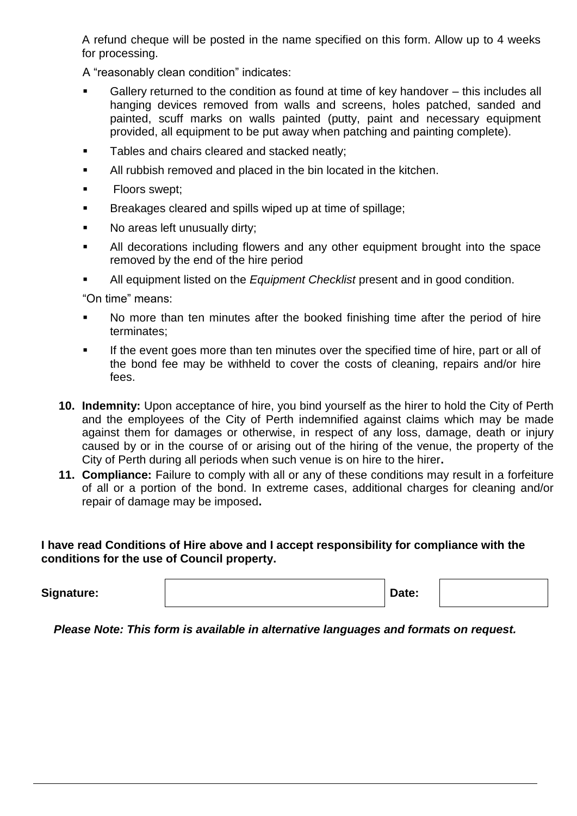A refund cheque will be posted in the name specified on this form. Allow up to 4 weeks for processing.

A "reasonably clean condition" indicates:

- Gallery returned to the condition as found at time of key handover this includes all hanging devices removed from walls and screens, holes patched, sanded and painted, scuff marks on walls painted (putty, paint and necessary equipment provided, all equipment to be put away when patching and painting complete).
- **Tables and chairs cleared and stacked neatly:**
- All rubbish removed and placed in the bin located in the kitchen.
- **Floors swept;**
- **Breakages cleared and spills wiped up at time of spillage;**
- No areas left unusually dirty;
- All decorations including flowers and any other equipment brought into the space removed by the end of the hire period
- All equipment listed on the *Equipment Checklist* present and in good condition.

"On time" means:

- No more than ten minutes after the booked finishing time after the period of hire terminates;
- If the event goes more than ten minutes over the specified time of hire, part or all of the bond fee may be withheld to cover the costs of cleaning, repairs and/or hire fees.
- **10. Indemnity:** Upon acceptance of hire, you bind yourself as the hirer to hold the City of Perth and the employees of the City of Perth indemnified against claims which may be made against them for damages or otherwise, in respect of any loss, damage, death or injury caused by or in the course of or arising out of the hiring of the venue, the property of the City of Perth during all periods when such venue is on hire to the hirer**.**
- **11. Compliance:** Failure to comply with all or any of these conditions may result in a forfeiture of all or a portion of the bond. In extreme cases, additional charges for cleaning and/or repair of damage may be imposed**.**

**I have read Conditions of Hire above and I accept responsibility for compliance with the conditions for the use of Council property.**

**Signature: Date:**

*Please Note: This form is available in alternative languages and formats on request.*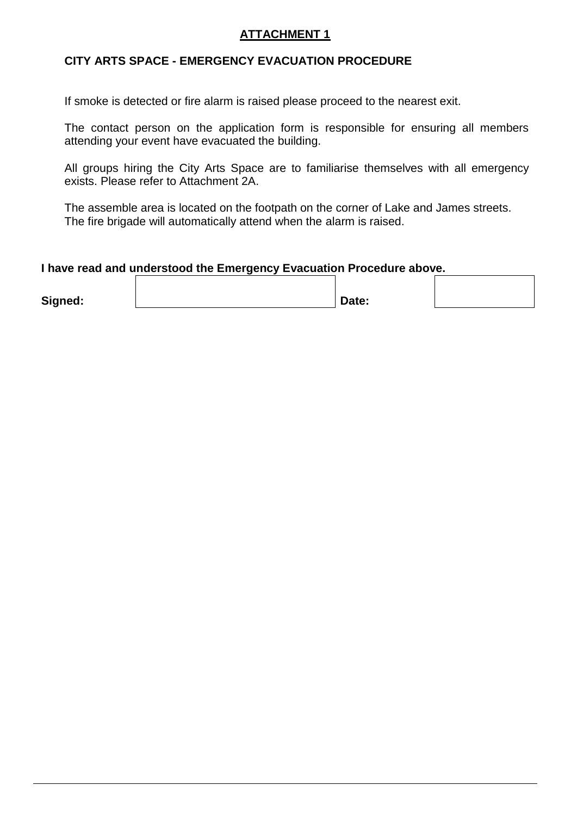#### **ATTACHMENT 1**

#### **CITY ARTS SPACE - EMERGENCY EVACUATION PROCEDURE**

If smoke is detected or fire alarm is raised please proceed to the nearest exit.

The contact person on the application form is responsible for ensuring all members attending your event have evacuated the building.

All groups hiring the City Arts Space are to familiarise themselves with all emergency exists. Please refer to Attachment 2A.

The assemble area is located on the footpath on the corner of Lake and James streets. The fire brigade will automatically attend when the alarm is raised.

#### **I have read and understood the Emergency Evacuation Procedure above.**

| Signed: | Date: |  |
|---------|-------|--|
|         |       |  |